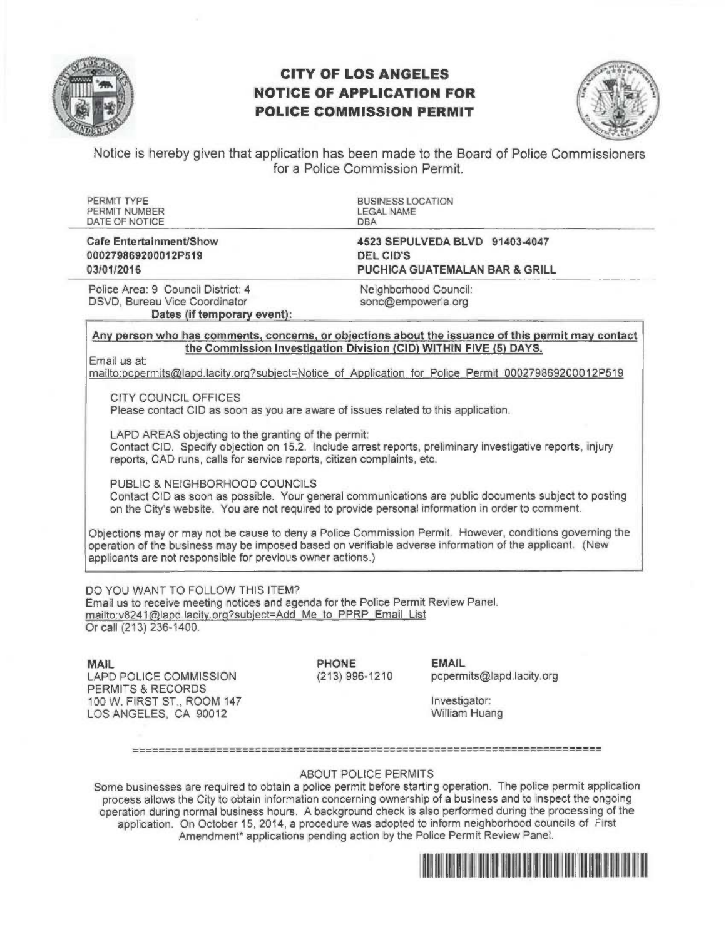

# CITY OF LOS ANGELES NOTICE OF APPLICATION FOR POLICE COMMISSION PERMIT



Notice is hereby given that application has been made to the Board of Police Commissioners for a Police Commission Permit.

| PERMIT TYPE<br>PERMIT NUMBER<br>DATE OF NOTICE                                                                                                                                                                                                              | <b>BUSINESS LOCATION</b><br><b>LEGAL NAME</b><br><b>DBA</b>                                                                                                                                                                                                                                                                                                                                  |
|-------------------------------------------------------------------------------------------------------------------------------------------------------------------------------------------------------------------------------------------------------------|----------------------------------------------------------------------------------------------------------------------------------------------------------------------------------------------------------------------------------------------------------------------------------------------------------------------------------------------------------------------------------------------|
| <b>Cafe Entertainment/Show</b><br>000279869200012P519<br>03/01/2016                                                                                                                                                                                         | 4523 SEPULVEDA BLVD 91403-4047<br><b>DEL CID'S</b><br><b>PUCHICA GUATEMALAN BAR &amp; GRILL</b>                                                                                                                                                                                                                                                                                              |
| Police Area: 9 Council District: 4<br>DSVD, Bureau Vice Coordinator<br>Dates (if temporary event):                                                                                                                                                          | Neighborhood Council:<br>sonc@empowerla.org                                                                                                                                                                                                                                                                                                                                                  |
| Email us at:<br>CITY COUNCIL OFFICES<br>Please contact CID as soon as you are aware of issues related to this application.<br>LAPD AREAS objecting to the granting of the permit:<br>reports, CAD runs, calls for service reports, citizen complaints, etc. | Any person who has comments, concerns, or objections about the issuance of this permit may contact<br>the Commission Investigation Division (CID) WITHIN FIVE (5) DAYS.<br>mailto:pcpermits@lapd.lacity.org?subject=Notice of Application for Police Permit 000279869200012P519<br>Contact CID. Specify objection on 15.2. Include arrest reports, preliminary investigative reports, injury |
| PUBLIC & NEIGHBORHOOD COUNCILS                                                                                                                                                                                                                              | Contact CID as soon as possible. Your general communications are public documents subject to posting<br>on the City's website. You are not required to provide personal information in order to comment.                                                                                                                                                                                     |
| applicants are not responsible for previous owner actions.)                                                                                                                                                                                                 | Objections may or may not be cause to deny a Police Commission Permit. However, conditions governing the<br>operation of the business may be imposed based on verifiable adverse information of the applicant. (New                                                                                                                                                                          |

mailto:v8241@lapd.lacity.org?subject=Add Me to PPRP Email List Or call (213) 236-1400.

MAIL LAPD POLICE COMMISSION PERMITS & RECORDS 100 W. FIRST ST., ROOM 147 LOS ANGELES, CA 90012

**PHONE** EMAIL<br>(213) 996-1210 pcperm

pcpermits@lapd.lacity.org

Investigator: William Huang

## 

# ABOUT POLICE PERMITS

Some businesses are required to obtain a police permit before starting operation. The police permit application process allows the City to obtain information concerning ownership of a business and to inspect the ongoing operation during normal business hours. A background check is also performed during the processing of the application. On October 15, 2014, a procedure was adopted to inform neighborhood councils of First Amendment\* applications pending action by the Police Permit Review Panel.